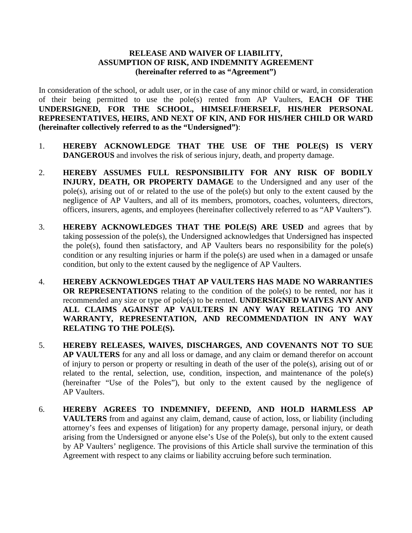## **RELEASE AND WAIVER OF LIABILITY, ASSUMPTION OF RISK, AND INDEMNITY AGREEMENT (hereinafter referred to as "Agreement")**

In consideration of the school, or adult user, or in the case of any minor child or ward, in consideration of their being permitted to use the pole(s) rented from AP Vaulters, **EACH OF THE UNDERSIGNED, FOR THE SCHOOL, HIMSELF/HERSELF, HIS/HER PERSONAL REPRESENTATIVES, HEIRS, AND NEXT OF KIN, AND FOR HIS/HER CHILD OR WARD (hereinafter collectively referred to as the "Undersigned")**:

- 1. **HEREBY ACKNOWLEDGE THAT THE USE OF THE POLE(S) IS VERY DANGEROUS** and involves the risk of serious injury, death, and property damage.
- 2. **HEREBY ASSUMES FULL RESPONSIBILITY FOR ANY RISK OF BODILY INJURY, DEATH, OR PROPERTY DAMAGE** to the Undersigned and any user of the pole(s), arising out of or related to the use of the pole(s) but only to the extent caused by the negligence of AP Vaulters, and all of its members, promotors, coaches, volunteers, directors, officers, insurers, agents, and employees (hereinafter collectively referred to as "AP Vaulters").
- 3. **HEREBY ACKNOWLEDGES THAT THE POLE(S) ARE USED** and agrees that by taking possession of the pole(s), the Undersigned acknowledges that Undersigned has inspected the pole(s), found then satisfactory, and AP Vaulters bears no responsibility for the pole(s) condition or any resulting injuries or harm if the pole(s) are used when in a damaged or unsafe condition, but only to the extent caused by the negligence of AP Vaulters.
- 4. **HEREBY ACKNOWLEDGES THAT AP VAULTERS HAS MADE NO WARRANTIES OR REPRESENTATIONS** relating to the condition of the pole(s) to be rented, nor has it recommended any size or type of pole(s) to be rented. **UNDERSIGNED WAIVES ANY AND ALL CLAIMS AGAINST AP VAULTERS IN ANY WAY RELATING TO ANY WARRANTY, REPRESENTATION, AND RECOMMENDATION IN ANY WAY RELATING TO THE POLE(S).**
- 5. **HEREBY RELEASES, WAIVES, DISCHARGES, AND COVENANTS NOT TO SUE AP VAULTERS** for any and all loss or damage, and any claim or demand therefor on account of injury to person or property or resulting in death of the user of the pole(s), arising out of or related to the rental, selection, use, condition, inspection, and maintenance of the pole(s) (hereinafter "Use of the Poles"), but only to the extent caused by the negligence of AP Vaulters.
- 6. **HEREBY AGREES TO INDEMNIFY, DEFEND, AND HOLD HARMLESS AP VAULTERS** from and against any claim, demand, cause of action, loss, or liability (including attorney's fees and expenses of litigation) for any property damage, personal injury, or death arising from the Undersigned or anyone else's Use of the Pole(s), but only to the extent caused by AP Vaulters' negligence. The provisions of this Article shall survive the termination of this Agreement with respect to any claims or liability accruing before such termination.